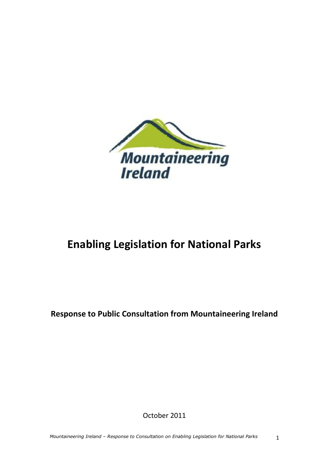

# **Enabling Legislation for National Parks**

**Response to Public Consultation from Mountaineering Ireland**

October 2011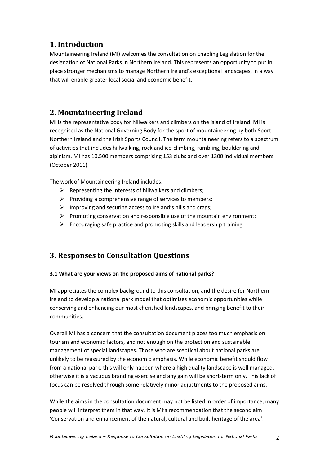# **1. Introduction**

Mountaineering Ireland (MI) welcomes the consultation on Enabling Legislation for the designation of National Parks in Northern Ireland. This represents an opportunity to put in place stronger mechanisms to manage Northern Ireland's exceptional landscapes, in a way that will enable greater local social and economic benefit.

# **2. Mountaineering Ireland**

MI is the representative body for hillwalkers and climbers on the island of Ireland. MI is recognised as the National Governing Body for the sport of mountaineering by both Sport Northern Ireland and the Irish Sports Council. The term mountaineering refers to a spectrum of activities that includes hillwalking, rock and ice-climbing, rambling, bouldering and alpinism. MI has 10,500 members comprising 153 clubs and over 1300 individual members (October 2011).

The work of Mountaineering Ireland includes:

- $\triangleright$  Representing the interests of hillwalkers and climbers;
- $\triangleright$  Providing a comprehensive range of services to members;
- $\triangleright$  Improving and securing access to Ireland's hills and crags;
- $\triangleright$  Promoting conservation and responsible use of the mountain environment;
- $\triangleright$  Encouraging safe practice and promoting skills and leadership training.

# **3. Responses to Consultation Questions**

### **3.1 What are your views on the proposed aims of national parks?**

MI appreciates the complex background to this consultation, and the desire for Northern Ireland to develop a national park model that optimises economic opportunities while conserving and enhancing our most cherished landscapes, and bringing benefit to their communities.

Overall MI has a concern that the consultation document places too much emphasis on tourism and economic factors, and not enough on the protection and sustainable management of special landscapes. Those who are sceptical about national parks are unlikely to be reassured by the economic emphasis. While economic benefit should flow from a national park, this will only happen where a high quality landscape is well managed, otherwise it is a vacuous branding exercise and any gain will be short-term only. This lack of focus can be resolved through some relatively minor adjustments to the proposed aims.

While the aims in the consultation document may not be listed in order of importance, many people will interpret them in that way. It is MI's recommendation that the second aim 'Conservation and enhancement of the natural, cultural and built heritage of the area'.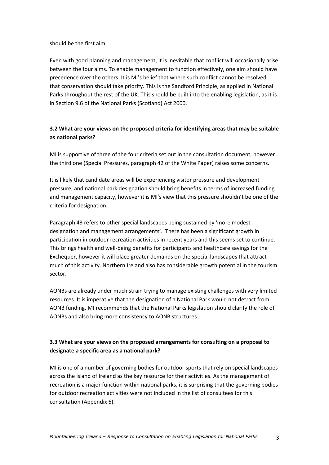should be the first aim.

Even with good planning and management, it is inevitable that conflict will occasionally arise between the four aims. To enable management to function effectively, one aim should have precedence over the others. It is MI's belief that where such conflict cannot be resolved, that conservation should take priority. This is the Sandford Principle, as applied in National Parks throughout the rest of the UK. This should be built into the enabling legislation, as it is in Section 9.6 of the National Parks (Scotland) Act 2000.

## **3.2 What are your views on the proposed criteria for identifying areas that may be suitable as national parks?**

MI is supportive of three of the four criteria set out in the consultation document, however the third one (Special Pressures, paragraph 42 of the White Paper) raises some concerns.

It is likely that candidate areas will be experiencing visitor pressure and development pressure, and national park designation should bring benefits in terms of increased funding and management capacity, however it is MI's view that this pressure shouldn't be one of the criteria for designation.

Paragraph 43 refers to other special landscapes being sustained by 'more modest designation and management arrangements'. There has been a significant growth in participation in outdoor recreation activities in recent years and this seems set to continue. This brings health and well-being benefits for participants and healthcare savings for the Exchequer, however it will place greater demands on the special landscapes that attract much of this activity. Northern Ireland also has considerable growth potential in the tourism sector.

AONBs are already under much strain trying to manage existing challenges with very limited resources. It is imperative that the designation of a National Park would not detract from AONB funding. MI recommends that the National Parks legislation should clarify the role of AONBs and also bring more consistency to AONB structures.

## **3.3 What are your views on the proposed arrangements for consulting on a proposal to designate a specific area as a national park?**

MI is one of a number of governing bodies for outdoor sports that rely on special landscapes across the island of Ireland as the key resource for their activities. As the management of recreation is a major function within national parks, it is surprising that the governing bodies for outdoor recreation activities were not included in the list of consultees for this consultation (Appendix 6).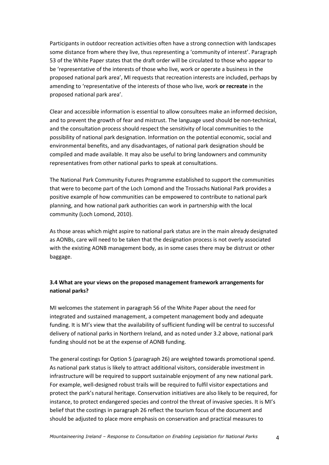Participants in outdoor recreation activities often have a strong connection with landscapes some distance from where they live, thus representing a 'community of interest'. Paragraph 53 of the White Paper states that the draft order will be circulated to those who appear to be 'representative of the interests of those who live, work or operate a business in the proposed national park area', MI requests that recreation interests are included, perhaps by amending to 'representative of the interests of those who live, work **or recreate** in the proposed national park area'.

Clear and accessible information is essential to allow consultees make an informed decision, and to prevent the growth of fear and mistrust. The language used should be non-technical, and the consultation process should respect the sensitivity of local communities to the possibility of national park designation. Information on the potential economic, social and environmental benefits, and any disadvantages, of national park designation should be compiled and made available. It may also be useful to bring landowners and community representatives from other national parks to speak at consultations.

The National Park Community Futures Programme established to support the communities that were to become part of the Loch Lomond and the Trossachs National Park provides a positive example of how communities can be empowered to contribute to national park planning, and how national park authorities can work in partnership with the local community (Loch Lomond, 2010).

As those areas which might aspire to national park status are in the main already designated as AONBs, care will need to be taken that the designation process is not overly associated with the existing AONB management body, as in some cases there may be distrust or other baggage.

### **3.4 What are your views on the proposed management framework arrangements for national parks?**

MI welcomes the statement in paragraph 56 of the White Paper about the need for integrated and sustained management, a competent management body and adequate funding. It is MI's view that the availability of sufficient funding will be central to successful delivery of national parks in Northern Ireland, and as noted under 3.2 above, national park funding should not be at the expense of AONB funding.

The general costings for Option 5 (paragraph 26) are weighted towards promotional spend. As national park status is likely to attract additional visitors, considerable investment in infrastructure will be required to support sustainable enjoyment of any new national park. For example, well-designed robust trails will be required to fulfil visitor expectations and protect the park's natural heritage. Conservation initiatives are also likely to be required, for instance, to protect endangered species and control the threat of invasive species. It is MI's belief that the costings in paragraph 26 reflect the tourism focus of the document and should be adjusted to place more emphasis on conservation and practical measures to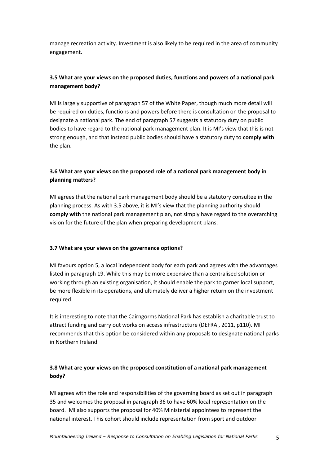manage recreation activity. Investment is also likely to be required in the area of community engagement.

## **3.5 What are your views on the proposed duties, functions and powers of a national park management body?**

MI is largely supportive of paragraph 57 of the White Paper, though much more detail will be required on duties, functions and powers before there is consultation on the proposal to designate a national park. The end of paragraph 57 suggests a statutory duty on public bodies to have regard to the national park management plan. It is MI's view that this is not strong enough, and that instead public bodies should have a statutory duty to **comply with** the plan.

### **3.6 What are your views on the proposed role of a national park management body in planning matters?**

MI agrees that the national park management body should be a statutory consultee in the planning process. As with 3.5 above, it is MI's view that the planning authority should **comply with** the national park management plan, not simply have regard to the overarching vision for the future of the plan when preparing development plans.

#### **3.7 What are your views on the governance options?**

MI favours option 5, a local independent body for each park and agrees with the advantages listed in paragraph 19. While this may be more expensive than a centralised solution or working through an existing organisation, it should enable the park to garner local support, be more flexible in its operations, and ultimately deliver a higher return on the investment required.

It is interesting to note that the Cairngorms National Park has establish a charitable trust to attract funding and carry out works on access infrastructure (DEFRA , 2011, p110). MI recommends that this option be considered within any proposals to designate national parks in Northern Ireland.

#### **3.8 What are your views on the proposed constitution of a national park management body?**

MI agrees with the role and responsibilities of the governing board as set out in paragraph 35 and welcomes the proposal in paragraph 36 to have 60% local representation on the board. MI also supports the proposal for 40% Ministerial appointees to represent the national interest. This cohort should include representation from sport and outdoor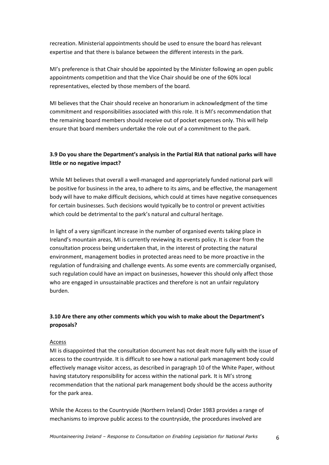recreation. Ministerial appointments should be used to ensure the board has relevant expertise and that there is balance between the different interests in the park.

MI's preference is that Chair should be appointed by the Minister following an open public appointments competition and that the Vice Chair should be one of the 60% local representatives, elected by those members of the board.

MI believes that the Chair should receive an honorarium in acknowledgment of the time commitment and responsibilities associated with this role. It is MI's recommendation that the remaining board members should receive out of pocket expenses only. This will help ensure that board members undertake the role out of a commitment to the park.

#### **3.9 Do you share the Department's analysis in the Partial RIA that national parks will have little or no negative impact?**

While MI believes that overall a well-managed and appropriately funded national park will be positive for business in the area, to adhere to its aims, and be effective, the management body will have to make difficult decisions, which could at times have negative consequences for certain businesses. Such decisions would typically be to control or prevent activities which could be detrimental to the park's natural and cultural heritage.

In light of a very significant increase in the number of organised events taking place in Ireland's mountain areas, MI is currently reviewing its events policy. It is clear from the consultation process being undertaken that, in the interest of protecting the natural environment, management bodies in protected areas need to be more proactive in the regulation of fundraising and challenge events. As some events are commercially organised, such regulation could have an impact on businesses, however this should only affect those who are engaged in unsustainable practices and therefore is not an unfair regulatory burden.

#### **3.10 Are there any other comments which you wish to make about the Department's proposals?**

#### Access

MI is disappointed that the consultation document has not dealt more fully with the issue of access to the countryside. It is difficult to see how a national park management body could effectively manage visitor access, as described in paragraph 10 of the White Paper, without having statutory responsibility for access within the national park. It is MI's strong recommendation that the national park management body should be the access authority for the park area.

While the Access to the Countryside (Northern Ireland) Order 1983 provides a range of mechanisms to improve public access to the countryside, the procedures involved are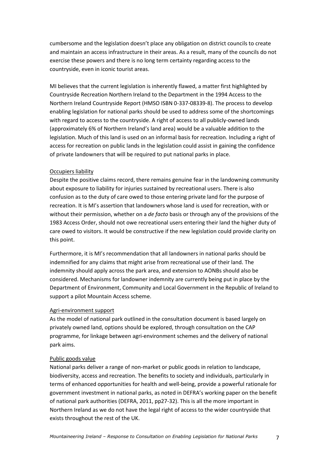cumbersome and the legislation doesn't place any obligation on district councils to create and maintain an access infrastructure in their areas. As a result, many of the councils do not exercise these powers and there is no long term certainty regarding access to the countryside, even in iconic tourist areas.

MI believes that the current legislation is inherently flawed, a matter first highlighted by Countryside Recreation Northern Ireland to the Department in the 1994 Access to the Northern Ireland Countryside Report (HMSO ISBN 0-337-08339-8). The process to develop enabling legislation for national parks should be used to address some of the shortcomings with regard to access to the countryside. A right of access to all publicly-owned lands (approximately 6% of Northern Ireland's land area) would be a valuable addition to the legislation. Much of this land is used on an informal basis for recreation. Including a right of access for recreation on public lands in the legislation could assist in gaining the confidence of private landowners that will be required to put national parks in place.

#### Occupiers liability

Despite the positive claims record, there remains genuine fear in the landowning community about exposure to liability for injuries sustained by recreational users. There is also confusion as to the duty of care owed to those entering private land for the purpose of recreation. It is MI's assertion that landowners whose land is used for recreation, with or without their permission, whether on a *de facto* basis or through any of the provisions of the 1983 Access Order, should not owe recreational users entering their land the higher duty of care owed to visitors. It would be constructive if the new legislation could provide clarity on this point.

Furthermore, it is MI's recommendation that all landowners in national parks should be indemnified for any claims that might arise from recreational use of their land. The indemnity should apply across the park area, and extension to AONBs should also be considered. Mechanisms for landowner indemnity are currently being put in place by the Department of Environment, Community and Local Government in the Republic of Ireland to support a pilot Mountain Access scheme.

#### Agri-environment support

As the model of national park outlined in the consultation document is based largely on privately owned land, options should be explored, through consultation on the CAP programme, for linkage between agri-environment schemes and the delivery of national park aims.

#### Public goods value

National parks deliver a range of non-market or public goods in relation to landscape, biodiversity, access and recreation. The benefits to society and individuals, particularly in terms of enhanced opportunities for health and well-being, provide a powerful rationale for government investment in national parks, as noted in DEFRA's working paper on the benefit of national park authorities (DEFRA, 2011, pp27-32). This is all the more important in Northern Ireland as we do not have the legal right of access to the wider countryside that exists throughout the rest of the UK.